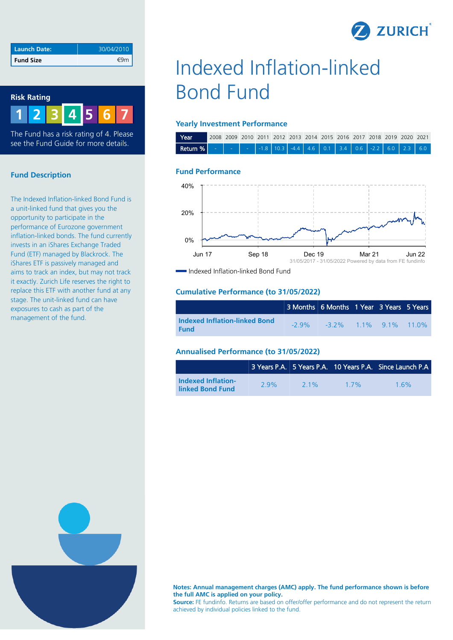| <b>Z</b> ZURICH |  |
|-----------------|--|
|                 |  |

| Launch Date:     | 30/04/2010 |
|------------------|------------|
| <b>Fund Size</b> |            |

#### **Risk Rating**



The Fund has a risk rating of 4. Please see the Fund Guide for more details.

# **Fund Description**

The Indexed Inflation-linked Bond Fund is a unit-linked fund that gives you the opportunity to participate in the performance of Eurozone government inflation-linked bonds. The fund currently invests in an iShares Exchange Traded Fund (ETF) managed by Blackrock. The iShares ETF is passively managed and aims to track an index, but may not track it exactly. Zurich Life reserves the right to replace this ETF with another fund at any stage. The unit-linked fund can have exposures to cash as part of the management of the fund.

# Indexed Inflation-linked Bond Fund

#### **Yearly Investment Performance**

| Year                                                                                                           |  |  |  |  |  |  | 2008 2009 2010 2011 2012 2013 2014 2015 2016 2017 2018 2019 2020 2021 |  |
|----------------------------------------------------------------------------------------------------------------|--|--|--|--|--|--|-----------------------------------------------------------------------|--|
| <b>Return %</b>   -   -   -   -1.8   10.3   -4.4   4.6   0.1   3.4   0.6   -2.2   6.0   2.3   6.0 <sup> </sup> |  |  |  |  |  |  |                                                                       |  |

## **Fund Performance**



Indexed Inflation-linked Bond Fund

#### **Cumulative Performance (to 31/05/2022)**

|                                                     | 3 Months 6 Months 1 Year 3 Years 5 Years   |  |  |
|-----------------------------------------------------|--------------------------------------------|--|--|
| <b>Indexed Inflation-linked Bond</b><br><b>Fund</b> | $-2.9\%$ $-3.2\%$ $1.1\%$ $9.1\%$ $11.0\%$ |  |  |

#### **Annualised Performance (to 31/05/2022)**

|                                               |     |         |     | 3 Years P.A. 5 Years P.A. 10 Years P.A. Since Launch P.A |
|-----------------------------------------------|-----|---------|-----|----------------------------------------------------------|
| <b>Indexed Inflation-</b><br>linked Bond Fund | 29% | $2.1\%$ | 17% | 16%                                                      |



**Notes: Annual management charges (AMC) apply. The fund performance shown is before the full AMC is applied on your policy.**

**Source:** FE fundinfo. Returns are based on offer/offer performance and do not represent the return achieved by individual policies linked to the fund.